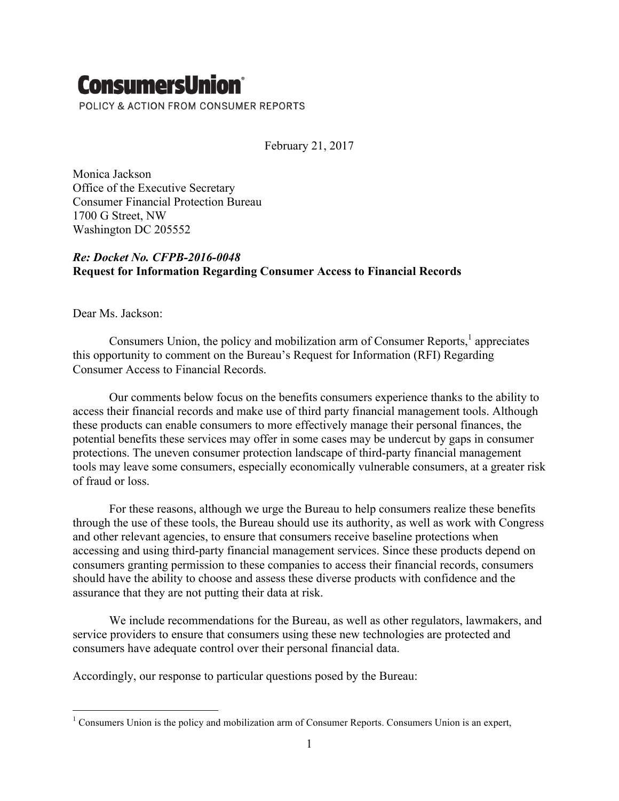# **ConsumersUnion**® POLICY & ACTION FROM CONSUMER REPORTS

February 21, 2017

Monica Jackson Office of the Executive Secretary Consumer Financial Protection Bureau 1700 G Street, NW Washington DC 205552

#### *Re: Docket No. CFPB-2016-0048* **Request for Information Regarding Consumer Access to Financial Records**

Dear Ms. Jackson:

Consumers Union, the policy and mobilization arm of Consumer Reports, $\frac{1}{2}$  appreciates this opportunity to comment on the Bureau's Request for Information (RFI) Regarding Consumer Access to Financial Records.

Our comments below focus on the benefits consumers experience thanks to the ability to access their financial records and make use of third party financial management tools. Although these products can enable consumers to more effectively manage their personal finances, the potential benefits these services may offer in some cases may be undercut by gaps in consumer protections. The uneven consumer protection landscape of third-party financial management tools may leave some consumers, especially economically vulnerable consumers, at a greater risk of fraud or loss.

For these reasons, although we urge the Bureau to help consumers realize these benefits through the use of these tools, the Bureau should use its authority, as well as work with Congress and other relevant agencies, to ensure that consumers receive baseline protections when accessing and using third-party financial management services. Since these products depend on consumers granting permission to these companies to access their financial records, consumers should have the ability to choose and assess these diverse products with confidence and the assurance that they are not putting their data at risk.

We include recommendations for the Bureau, as well as other regulators, lawmakers, and service providers to ensure that consumers using these new technologies are protected and consumers have adequate control over their personal financial data.

Accordingly, our response to particular questions posed by the Bureau:

<sup>&</sup>lt;sup>1</sup> Consumers Union is the policy and mobilization arm of Consumer Reports. Consumers Union is an expert,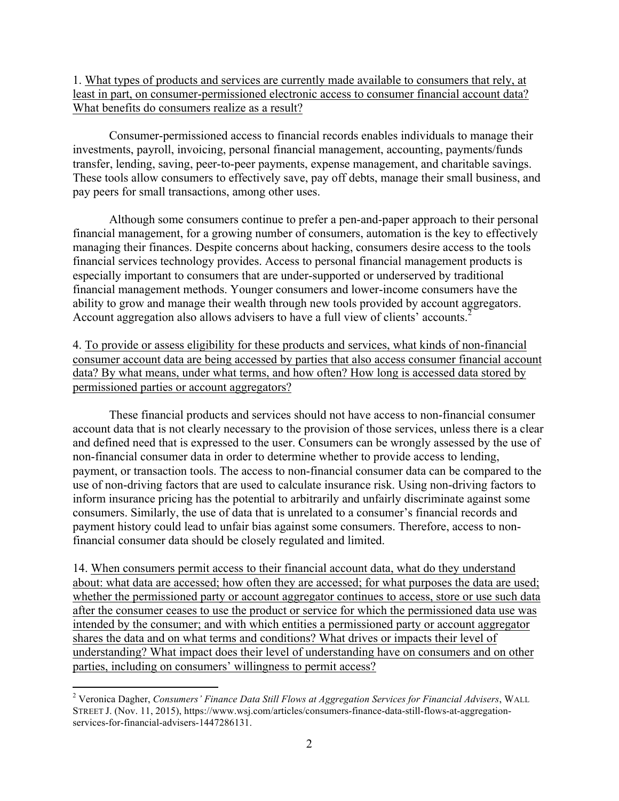1. What types of products and services are currently made available to consumers that rely, at least in part, on consumer-permissioned electronic access to consumer financial account data? What benefits do consumers realize as a result?

Consumer-permissioned access to financial records enables individuals to manage their investments, payroll, invoicing, personal financial management, accounting, payments/funds transfer, lending, saving, peer-to-peer payments, expense management, and charitable savings. These tools allow consumers to effectively save, pay off debts, manage their small business, and pay peers for small transactions, among other uses.

Although some consumers continue to prefer a pen-and-paper approach to their personal financial management, for a growing number of consumers, automation is the key to effectively managing their finances. Despite concerns about hacking, consumers desire access to the tools financial services technology provides. Access to personal financial management products is especially important to consumers that are under-supported or underserved by traditional financial management methods. Younger consumers and lower-income consumers have the ability to grow and manage their wealth through new tools provided by account aggregators. Account aggregation also allows advisers to have a full view of clients' accounts.<sup>2</sup>

4. To provide or assess eligibility for these products and services, what kinds of non-financial consumer account data are being accessed by parties that also access consumer financial account data? By what means, under what terms, and how often? How long is accessed data stored by permissioned parties or account aggregators?

These financial products and services should not have access to non-financial consumer account data that is not clearly necessary to the provision of those services, unless there is a clear and defined need that is expressed to the user. Consumers can be wrongly assessed by the use of non-financial consumer data in order to determine whether to provide access to lending, payment, or transaction tools. The access to non-financial consumer data can be compared to the use of non-driving factors that are used to calculate insurance risk. Using non-driving factors to inform insurance pricing has the potential to arbitrarily and unfairly discriminate against some consumers. Similarly, the use of data that is unrelated to a consumer's financial records and payment history could lead to unfair bias against some consumers. Therefore, access to nonfinancial consumer data should be closely regulated and limited.

14. When consumers permit access to their financial account data, what do they understand about: what data are accessed; how often they are accessed; for what purposes the data are used; whether the permissioned party or account aggregator continues to access, store or use such data after the consumer ceases to use the product or service for which the permissioned data use was intended by the consumer; and with which entities a permissioned party or account aggregator shares the data and on what terms and conditions? What drives or impacts their level of understanding? What impact does their level of understanding have on consumers and on other parties, including on consumers' willingness to permit access?

 <sup>2</sup> Veronica Dagher, *Consumers' Finance Data Still Flows at Aggregation Services for Financial Advisers*, WALL STREET J. (Nov. 11, 2015), https://www.wsj.com/articles/consumers-finance-data-still-flows-at-aggregationservices-for-financial-advisers-1447286131.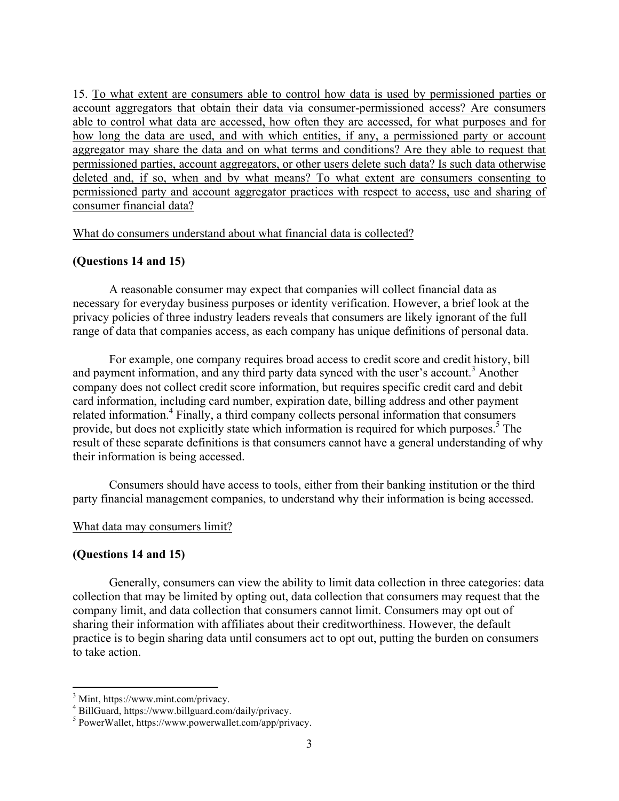15. To what extent are consumers able to control how data is used by permissioned parties or account aggregators that obtain their data via consumer-permissioned access? Are consumers able to control what data are accessed, how often they are accessed, for what purposes and for how long the data are used, and with which entities, if any, a permissioned party or account aggregator may share the data and on what terms and conditions? Are they able to request that permissioned parties, account aggregators, or other users delete such data? Is such data otherwise deleted and, if so, when and by what means? To what extent are consumers consenting to permissioned party and account aggregator practices with respect to access, use and sharing of consumer financial data?

What do consumers understand about what financial data is collected?

## **(Questions 14 and 15)**

A reasonable consumer may expect that companies will collect financial data as necessary for everyday business purposes or identity verification. However, a brief look at the privacy policies of three industry leaders reveals that consumers are likely ignorant of the full range of data that companies access, as each company has unique definitions of personal data.

For example, one company requires broad access to credit score and credit history, bill and payment information, and any third party data synced with the user's account.<sup>3</sup> Another company does not collect credit score information, but requires specific credit card and debit card information, including card number, expiration date, billing address and other payment related information.<sup>4</sup> Finally, a third company collects personal information that consumers provide, but does not explicitly state which information is required for which purposes.<sup>5</sup> The result of these separate definitions is that consumers cannot have a general understanding of why their information is being accessed.

Consumers should have access to tools, either from their banking institution or the third party financial management companies, to understand why their information is being accessed.

### What data may consumers limit?

### **(Questions 14 and 15)**

Generally, consumers can view the ability to limit data collection in three categories: data collection that may be limited by opting out, data collection that consumers may request that the company limit, and data collection that consumers cannot limit. Consumers may opt out of sharing their information with affiliates about their creditworthiness. However, the default practice is to begin sharing data until consumers act to opt out, putting the burden on consumers to take action.

 $3$  Mint, https://www.mint.com/privacy.<br> $4$  BillGuard, https://www.billguard.com/daily/privacy.

<sup>5</sup> PowerWallet, https://www.powerwallet.com/app/privacy.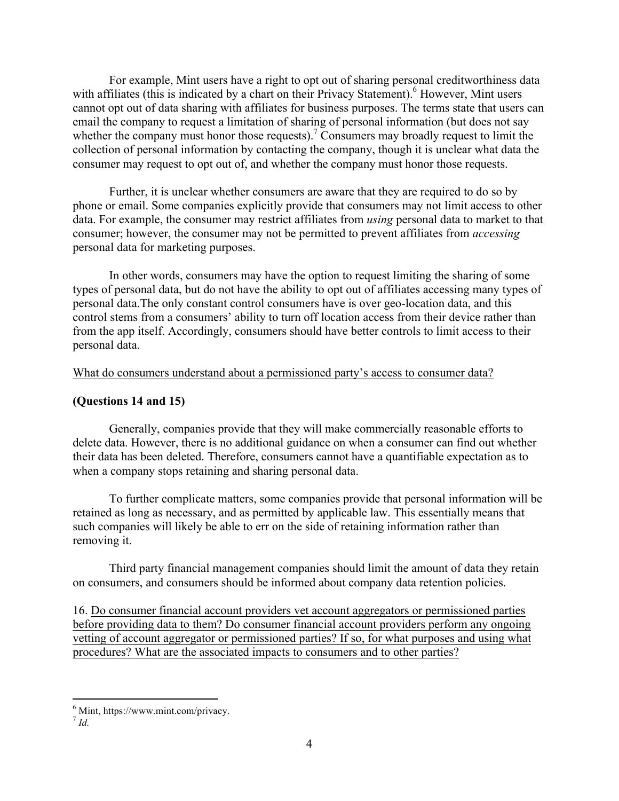For example, Mint users have a right to opt out of sharing personal creditworthiness data with affiliates (this is indicated by a chart on their Privacy Statement).<sup>6</sup> However, Mint users cannot opt out of data sharing with affiliates for business purposes. The terms state that users can email the company to request a limitation of sharing of personal information (but does not say whether the company must honor those requests).<sup>7</sup> Consumers may broadly request to limit the collection of personal information by contacting the company, though it is unclear what data the consumer may request to opt out of, and whether the company must honor those requests.

Further, it is unclear whether consumers are aware that they are required to do so by phone or email. Some companies explicitly provide that consumers may not limit access to other data. For example, the consumer may restrict affiliates from *using* personal data to market to that consumer; however, the consumer may not be permitted to prevent affiliates from *accessing* personal data for marketing purposes.

In other words, consumers may have the option to request limiting the sharing of some types of personal data, but do not have the ability to opt out of affiliates accessing many types of personal data.The only constant control consumers have is over geo-location data, and this control stems from a consumers' ability to turn off location access from their device rather than from the app itself. Accordingly, consumers should have better controls to limit access to their personal data.

#### What do consumers understand about a permissioned party's access to consumer data?

#### **(Questions 14 and 15)**

Generally, companies provide that they will make commercially reasonable efforts to delete data. However, there is no additional guidance on when a consumer can find out whether their data has been deleted. Therefore, consumers cannot have a quantifiable expectation as to when a company stops retaining and sharing personal data.

To further complicate matters, some companies provide that personal information will be retained as long as necessary, and as permitted by applicable law. This essentially means that such companies will likely be able to err on the side of retaining information rather than removing it.

Third party financial management companies should limit the amount of data they retain on consumers, and consumers should be informed about company data retention policies.

16. Do consumer financial account providers vet account aggregators or permissioned parties before providing data to them? Do consumer financial account providers perform any ongoing vetting of account aggregator or permissioned parties? If so, for what purposes and using what procedures? What are the associated impacts to consumers and to other parties?

 $\frac{6}{7}$  Mint, https://www.mint.com/privacy.